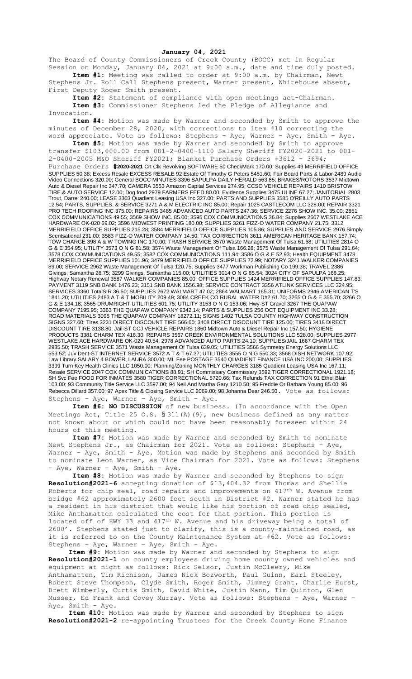## **January 04, 2021**

The Board of County Commissioners of Creek County (BOCC) met in Regular Session on Monday, January 04, 2021 at 9:00 a.m., date and time duly posted. **Item #1:** Meeting was called to order at 9:00 a.m. by Chairman, Newt

Stephens Jr. Roll Call Stephens present, Warner present, Whitehouse absent, First Deputy Roger Smith present.

**Item #2:** Statement of compliance with open meetings act-Chairman. **Item #3:** Commissioner Stephens led the Pledge of Allegiance and Invocation.

**Item #4:** Motion was made by Warner and seconded by Smith to approve the minutes of December 28, 2020, with corrections to item #10 correcting the word appreciate. Vote as follows: Stephens - Aye, Warner - Aye, Smith - Aye.

**Item #5:** Motion was made by Warner and seconded by Smith to approve transfer \$103,000.00 from 001-2-0400-1110 Salary Sheriff FY2020-2021 to 001- 2-0400-2005 M&O Sheriff FY2021; Blanket Purchase Orders #3612 - 3694;

Purchase Orders **#2020-2021** Crt Clk Revolving SOFTWARE 50 CheckMark 170.00; Supplies 49 MERRIFIELD OFFICE SUPPLIES 50.38; Excess Resale EXCESS RESALE 92 Estate Of Timothy G Peters 5451.60; Fair Board Parts & Labor 2489 Audio Video Connections 320.00; General BOCC MINUTES 3396 SAPULPA DAILY HERALD 563.85; BRAKES/ROTORS 3537 Midtown Auto & Diesel Repair Inc 347.70; CAMERA 3553 Amazon Capital Services 274.95; CCSO VEHICLE REPAIRS 1410 BRISTOW TIRE & AUTO SERVICE 12.00; Dog food 2979 FARMERS FEED 80.00; Evidence Supplies 3475 ULINE 67.27; JANITORIAL 2803 Trout, Darrel 240.00; LEASE 3303 Quadient Leasing USA Inc 327.00; PARTS AND SUPPLIES 3585 O'REILLY AUTO PARTS 12.54; PARTS, SUPPLIES, & SERVICE 3271 A & M ELECTRIC INC 85.00; Repair 1025 CASTLECOM LLC 328.00; REPAIR 3321 PRO TECH ROOFING INC 375.00; REPAIRS 3485 ADVANCED AUTO PARTS 247.36; SERVICE 2276 SHOW INC. 35.00; 2851 COX COMMUNICATIONS 49.55; 3569 SHOW INC. 85.00; 3595 COX COMMUNICATIONS 36.84; Supplies 2667 WESTLAKE ACE HARDWARE OK-020 69.02; 3596 MIDWEST PRINTING 180.00; SUPPLIES 3261 FIZZ-O WATER COMPANY 21.75; 3312 MERRIFIELD OFFICE SUPPLIES 215.28; 3584 MERRIFIELD OFFICE SUPPLIES 105.86; SUPPLIES AND SERVICE 2976 Simply Scentsational 231.00; 3583 FIZZ-O WATER COMPANY 14.50; TAX CORRECTION 3611 AMERICAN HERITAGE BANK 157.74; TOW CHARGE 398 A & W TOWING INC 170.00; TRASH SERVICE 3570 Waste Management Of Tulsa 61.68; UTILITIES 2814 O G & E 354.95; UTILITY 3573 O N G 81.58; 3574 Waste Management Of Tulsa 166.28; 3575 Waste Management Of Tulsa 291.64; 3578 COX COMMUNICATIONS 49.55; 3582 COX COMMUNICATIONS 111.94; 3586 O G & E 52.93; Health EQUIPMENT 3478 MERRIFIELD OFFICE SUPPLIES 101.96; 3479 MERRIFIELD OFFICE SUPPLIES 72.99; NOTARY 3241 WALKER COMPANIES 89.00; SERVICE 2962 Waste Management Of Tulsa 120.75; Supplies 3477 Workman Publishing Co 199.38; TRAVEL 2386 Givings, Samantha 28.75; 3299 Givings, Samantha 115.00; UTILITIES 3014 O N G 85.54; 3024 CITY OF SAPULPA 168.25; Highway Notary Renewal 3587 WALKER COMPANIES 85.00; OFFICE SUPPLIES 1424 MERRIFIELD OFFICE SUPPLIES 147.83; PAYMENT 3119 SNB BANK 1476.23; 3151 SNB BANK 1556.98; SERVICE CONTRACT 3356 ATLINK SERVICES LLC 324.95; SERVICES 3360 TotalSIR 36.50; SUPPLIES 2672 WALMART 47.02; 2864 WALMART 165.31; UNIFORMS 2946 AMERICAN T'S 1841.20; UTILITIES 2483 A T & T MOBILITY 209.49; 3084 CREEK CO RURAL WATER D#2 61.70; 3265 O G & E 355.70; 3266 O G & E 134.18; 3565 DRUMRIGHT UTILITIES 601.75; UTILITY 3153 O N G 153.06; Hwy-ST Gravel 3267 THE QUAPAW COMPANY 7195.95; 3363 THE QUAPAW COMPANY 9342.14; PARTS & SUPPLIES 256 OCT EQUIPMENT INC 33.28; ROAD MATERIALS 3095 THE QUAPAW COMPANY 18272.11; SIGNS 1402 TULSA COUNTY HIGHWAY CONSTRUCTION SIGNS 327.60; Tires 3231 DIRECT DISCOUNT TIRE 566.60; 3408 DIRECT DISCOUNT TIRE 125.00; TIRES 3418 DIRECT DISCOUNT TIRE 3138.80; Jail-ST CCJ VEHICLE REPAIRS 1860 Midtown Auto & Diesel Repair Inc 157.50; HYGIENE PRODUCTS 3381 CHARM TEX 416.30; REPAIRS 3567 CREEK ENVIRONMENTAL SOLUTIONS LLC 528.00; SUPPLIES 2977 WESTLAKE ACE HARDWARE OK-020 40.54; 2978 ADVANCED AUTO PARTS 24.10; SUPPLIES/JAIL 1667 CHARM TEX 2935.50; TRASH SERVICE 3571 Waste Management Of Tulsa 639.05; UTILITIES 3566 Symmetry Energy Solutions LLC 553.52; Juv Dent-ST INTERNET SERVICE 3572 A T & T 67.37; UTILITIES 3555 O N G 550.33; 3568 DISH NETWORK 107.92; Law Library SALARY 4 BOWER, LAURA 300.00; ML Fee POSTAGE 3540 QUADIENT FINANCE USA INC 200.00; SUPPLIES 3399 Turn Key Health Clinics LLC 1050.00; Planning/Zoning MONTHLY CHARGES 3185 Quadient Leasing USA Inc 167.11; Resale SERVICE 2047 COX COMMUNICATIONS 88.91; SH Commissary Commissary 3592 TIGER CORRECTIONAL 1921.18; SH Svc Fee FOOD FOR INMATES 3580 TIGER CORRECTIONAL 5720.66; Tax Refunds TAX CORRECTION 91 Ethel Blair 103.00; 93 Community Title Service LLC 3597.00; 94 Neil And Martha Gary 1210.50; 95 Freddie Or Barbara Young 85.00; 96 Rebecca Dillard 357.00; 97 Apex Title & Closing Service LLC 2069.00; 98 Johanna Dear 246.50. Vote as follows: Stephens – Aye, Warner – Aye, Smith – Aye.

**Item #6: NO DISCUSSION** of new business. (In accordance with the Open Meetings Act, Title 25 O.S.  $\S 311(A)$  (9), new business defined as any matter not known about or which could not have been reasonably foreseen within 24 hours of this meeting.

**Item #7:** Motion was made by Warner and seconded by Smith to nominate Newt Stephens Jr., as Chairman for 2021. Vote as follows: Stephens – Aye, Warner - Aye, Smith - Aye. Motion was made by Stephens and seconded by Smith to nominate Leon Warner, as Vice Chairman for 2021. Vote as follows: Stephens – Aye, Warner – Aye, Smith – Aye.

**Item #8:** Motion was made by Warner and seconded by Stephens to sign **Resolution#2021-6** accepting donation of \$13,404.32 from Thomas and Shellie Roberts for chip seal, road repairs and improvements on  $417^{th}$  W. Avenue from bridge #62 approximately 2600 feet south in District #2. Warner stated he has a resident in his district that would like his portion of road chip sealed, Mike Anthamatten calculated the cost for that portion. This portion is located off of HWY 33 and 417th W. Avenue and his driveway being a total of 2600'. Stephens stated just to clarify, this is a county-maintained road, as it is referred to on the County Maintenance System at #62. Vote as follows: Stephens – Aye, Warner – Aye, Smith – Aye.

**Item #9:** Motion was made by Warner and seconded by Stephens to sign **Resolution#2021-1** on county employees driving home county owned vehicles and equipment at night as follows: Rick Selsor, Justin McCleery, Mike Anthamatten, Tim Richison, James Nick Bozworth, Paul Guinn, Earl Steeley, Robert Steve Thompson, Clyde Smith, Roger Smith, Jimmey Grant, Charlie Hurst, Brett Wimberly, Curtis Smith, David White, Justin Mann, Tim Quinton, Glen Musser, Ed Frank and Covey Murray. Vote as follows: Stephens – Aye, Warner – Aye, Smith - Aye.

**Item #10:** Motion was made by Warner and seconded by Stephens to sign **Resolution#2021-2** re-appointing Trustees for the Creek County Home Finance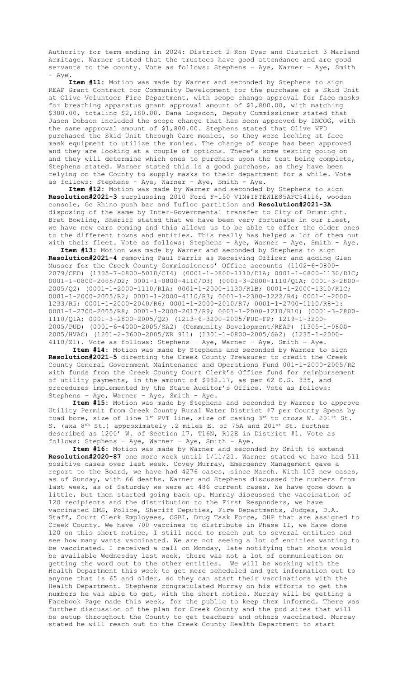Authority for term ending in 2024: District 2 Ron Dyer and District 3 Marland Armitage. Warner stated that the trustees have good attendance and are good servants to the county. Vote as follows: Stephens – Aye, Warner – Aye, Smith - Aye.

**Item #11:** Motion was made by Warner and seconded by Stephens to sign REAP Grant Contract for Community Development for the purchase of a Skid Unit at Olive Volunteer Fire Department, with scope change approval for face masks for breathing apparatus grant approval amount of \$1,800.00, with matching \$380.00, totaling \$2,180.00. Dana Logsdon, Deputy Commissioner stated that Jason Dobson included the scope change that has been approved by INCOG, with the same approval amount of \$1,800.00. Stephens stated that Olive VFD purchased the Skid Unit through Care monies, so they were looking at face mask equipment to utilize the monies. The change of scope has been approved and they are looking at a couple of options. There's some testing going on and they will determine which ones to purchase upon the test being complete, Stephens stated. Warner stated this is a good purchase, as they have been relying on the County to supply masks to their department for a while. Vote as follows: Stephens – Aye, Warner – Aye, Smith - Aye.

**Item #12:** Motion was made by Warner and seconded by Stephens to sign **Resolution#2021-3** surplussing 2010 Ford F-150 VIN#IFTEW1E85AFC54116, wooden console, Go Rhino push bar and Tufloc partition and **Resolution#2021-3A** disposing of the same by Inter-Governmental transfer to City of Drumright. Bret Bowling, Sheriff stated that we have been very fortunate in our fleet, we have new cars coming and this allows us to be able to offer the older ones to the different towns and entities. This really has helped a lot of them out with their fleet. Vote as follows: Stephens - Aye, Warner - Aye, Smith - Aye.

**Item #13:** Motion was made by Warner and seconded by Stephens to sign **Resolution#2021-4** removing Paul Farris as Receiving Officer and adding Glen Musser for the Creek County Commissioners' Office accounts (1102-6-0800- 2079/CED) (1305-7-0800-5010/CI4) (0001-1-0800-1110/D1A; 0001-1-0800-1130/D1C; 0001-1-0800-2005/D2; 0001-1-0800-4110/D3) (0001-3-2800-1110/Q1A; 0001-3-2800- 2005/Q2) (0001-1-2000-1110/R1A; 0001-1-2000-1130/R1B; 0001-1-2000-1310/R1C; 0001-1-2000-2005/R2; 0001-1-2000-4110/R3; 0001-1-2300-1222/R4; 0001-1-2000- 1233/R5; 0001-1-2000-2040/R6; 0001-1-2000-2010/R7; 0001-1-2700-1110/R8-1: 0001-1-2700-2005/R8; 0001-1-2000-2017/R9; 0001-1-2000-1210/R10) (0001-3-2800- 1110/Q1A; 0001-3-2800-2005/Q2) (1213-6-3200-2005/PUD-FP; 1219-1-3200- 2005/PUD) (0001-6-4000-2005/SA2) (Community Development/REAP) (1305-1-0800- 2005/HVAC) (1201-2-3600-2005/WR 911) (1301-1-0800-2005/GA2) (1235-1-2000- 4110/Z1). Vote as follows: Stephens – Aye, Warner – Aye, Smith - Aye.

**Item #14:** Motion was made by Stephens and seconded by Warner to sign **Resolution#2021-5** directing the Creek County Treasurer to credit the Creek County General Government Maintenance and Operations Fund 001-1-2000-2005/R2 with funds from the Creek County Court Clerk's Office fund for reimbursement of utility payments, in the amount of \$982.17, as per 62 O.S. 335, and procedures implemented by the State Auditor's Office. Vote as follows: Stephens – Aye, Warner – Aye, Smith - Aye.

**Item #15:** Motion was made by Stephens and seconded by Warner to approve Utility Permit from Creek County Rural Water District #7 per County Specs by road bore, size of line 1" PVT line, size of casing 3" to cross W. 201st St. S. (aka 8<sup>th</sup> St.) approximately .2 miles E. of 75A and 201<sup>st</sup> St. further described as 1200' W. of Section 17, T16N, R12E in District #1. Vote as follows: Stephens – Aye, Warner – Aye, Smith - Aye.

**Item #16:** Motion was made by Warner and seconded by Smith to extend **Resolution#2020-87** one more week until 1/11/21. Warner stated we have had 511 positive cases over last week. Covey Murray, Emergency Management gave a report to the Board, we have had 4276 cases, since March. With 103 new cases, as of Sunday, with 66 deaths. Warner and Stephens discussed the numbers from last week, as of Saturday we were at 486 current cases. We have gone down a little, but then started going back up. Murray discussed the vaccination of 120 recipients and the distribution to the First Responders, we have vaccinated EMS, Police, Sheriff Deputies, Fire Departments, Judges, D.A. Staff, Court Clerk Employees, OSBI, Drug Task Force, OHP that are assigned to Creek County. We have 700 vaccines to distribute in Phase II, we have done 120 on this short notice, I still need to reach out to several entities and see how many wants vaccinated. We are not seeing a lot of entities wanting to be vaccinated. I received a call on Monday, late notifying that shots would be available Wednesday last week, there was not a lot of communication on getting the word out to the other entities. We will be working with the Health Department this week to get more scheduled and get information out to anyone that is 65 and older, so they can start their vaccinations with the Health Department. Stephens congratulated Murray on his efforts to get the numbers he was able to get, with the short notice. Murray will be getting a Facebook Page made this week, for the public to keep them informed. There was further discussion of the plan for Creek County and the pod sites that will be setup throughout the County to get teachers and others vaccinated. Murray stated he will reach out to the Creek County Health Department to start